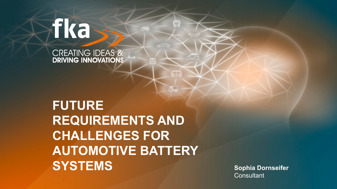# Fka

**CREATING IDEAS & DRIVING INNOVATIONS** 

# **FUTURE REQUIREMENTS AND CHALLENGES FOR AUTOMOTIVE BATTERY SYSTEMS** Sophia Dornseifer

 $\Box$ 

 $\begin{array}{c} \n 5 \bigcup_{\text{O}-\text{O}} \n \end{array}$ 

**Consultant**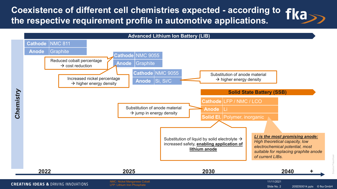**Coexistence of different cell chemistries expected - according to the respective requirement profile in automotive applications.**



Slide No. 2

20SDS0014.pptx © fka GmbH

Source Fraunhoer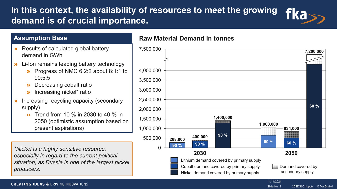# **In this context, the availability of resources to meet the growing**  fkass **demand is of crucial importance.**

# **Assumption Base**

- » Results of calculated global battery demand in GWh
- » Li-Ion remains leading battery technology
	- » Progress of NMC 6:2:2 about 8:1:1 to 90:5:5
	- » Decreasing cobalt ratio
	- » Increasing nickel\* ratio
- » Increasing recycling capacity (secondary supply)
	- **»** Trend from 10 % in 2030 to 40 % in 2050 (optimistic assumption based on present aspirations)

*\*Nickel is a highly sensitive resource, especially in regard to the current political situation, as Russia is one of the largest nickel producers.*

# **Raw Material Demand in tonnes**



## **CREATING IDEAS & DRIVING INNOVATIONS**

20SDS0014.pptx © fka GmbH Slide No. 3

11/11/2021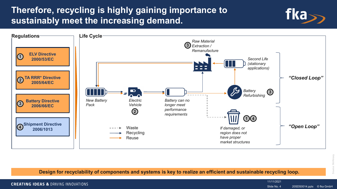# **Therefore, recycling is highly gaining importance to sustainably meet the increasing demand.**



**Design for recyclability of components and systems is key to realize an efficient and sustainable recycling loop.**

**CREATING IDEAS & DRIVING INNOVATIONS** 

Slide No. 4

**fka** 

11/11/2021

20SDS0014.pptx © fka GmbH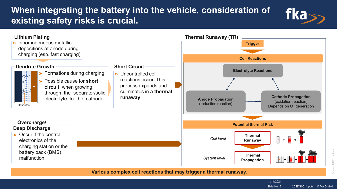# **When integrating the battery into the vehicle, consideration of existing safety risks is crucial.**



Source: MDPI, batterisbatter

20SDS0014.pptx © fka GmbH

fka

11/11/2021 Slide No. 5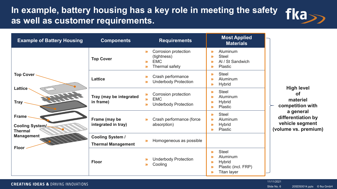# In example, battery housing has a key role in meeting the safety  $\left\{\mathsf{Ka}_{\geq 0}\right\}$ **as well as customer requirements.**

| <b>Example of Battery Housing</b>                         | <b>Components</b>                                    | <b>Requirements</b>                                                                                                                          | <b>Most Applied</b><br><b>Materials</b>                                                                                                                                                           |                                                                                                                                              |
|-----------------------------------------------------------|------------------------------------------------------|----------------------------------------------------------------------------------------------------------------------------------------------|---------------------------------------------------------------------------------------------------------------------------------------------------------------------------------------------------|----------------------------------------------------------------------------------------------------------------------------------------------|
|                                                           | <b>Top Cover</b>                                     | Corrosion protection<br>$\boldsymbol{\Sigma}$<br>(tightness)<br><b>EMC</b><br>$\mathbf{v}$<br>Thermal safety<br>$\boldsymbol{\Sigma}$        | Aluminum<br>$\mathbf{v}$<br><b>Steel</b><br>$\boldsymbol{\Sigma}$<br>Al / St Sandwich<br>$\boldsymbol{\Sigma}$<br><b>Plastic</b><br>$\mathbf{v}$                                                  | <b>High level</b><br><b>of</b><br>materiel<br>competition with<br>a general<br>differentiation by<br>vehicle segment<br>(volume vs. premium) |
| <b>Top Cover</b>                                          | Lattice                                              | Crash performance<br>≫<br><b>Underbody Protection</b><br>$\mathbf{v}$                                                                        | <b>Steel</b><br>$\mathbf{v}$<br>Aluminum<br>$\mathbf{v}$<br><b>Hybrid</b><br>$\boldsymbol{\Sigma}$                                                                                                |                                                                                                                                              |
| Lattice ·<br>TITLE<br><b>Tray</b>                         | Tray (may be integrated<br>in frame)                 | Corrosion protection<br>$\boldsymbol{\Sigma}$<br><b>EMC</b><br>$\boldsymbol{\Sigma}$<br><b>Underbody Protection</b><br>$\boldsymbol{\Sigma}$ | <b>Steel</b><br>$\mathbf{v}$<br>Aluminum<br>$\boldsymbol{\Sigma}$<br><b>Hybrid</b><br>$\boldsymbol{\Sigma}$<br><b>Plastic</b><br>$\boldsymbol{\Sigma}$                                            |                                                                                                                                              |
| <b>Frame</b><br><b>Cooling System/-</b><br><b>Thermal</b> | Frame (may be<br>integrated in tray)                 | Crash performance (force<br>$\mathbf{v}$<br>absorption)                                                                                      | <b>Steel</b><br>$\mathbf{v}$<br>Aluminum<br>$\boldsymbol{\Sigma}$<br><b>Hybrid</b><br>$\boldsymbol{\Sigma}$<br>Plastic<br>$\mathbf{v}$                                                            |                                                                                                                                              |
| <b>Management</b><br>Floor                                | <b>Cooling System /</b><br><b>Thermal Management</b> | Homogeneous as possible<br>$\boldsymbol{\Sigma}$                                                                                             |                                                                                                                                                                                                   |                                                                                                                                              |
|                                                           | <b>Floor</b>                                         | <b>Underbody Protection</b><br>»<br>Cooling<br>$\boldsymbol{\Sigma}$                                                                         | <b>Steel</b><br>$\mathbf{v}$<br>Aluminum<br>$\boldsymbol{\Sigma}$<br><b>Hybrid</b><br>$\boldsymbol{\Sigma}$<br>Plastic (incl. FRP)<br>$\boldsymbol{\Sigma}$<br><b>Titan layer</b><br>$\mathbf{v}$ |                                                                                                                                              |

Slide No. 6

20SDS0014.pptx © fka GmbH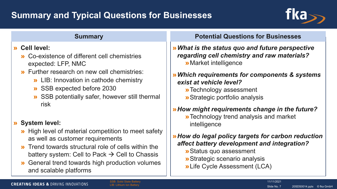# **Summary and Typical Questions for Businesses**



# » **Cell level:**

- » Co-existence of different cell chemistries expected: LFP, NMC
- » Further research on new cell chemistries:
	- » LIB: Innovation in cathode chemistry
	- » SSB expected before 2030
	- » SSB potentially safer, however still thermal risk

# » **System level:**

- » High level of material competition to meet safety as well as customer requirements
- » Trend towards structural role of cells within the battery system: Cell to Pack  $\rightarrow$  Cell to Chassis
- » General trend towards high production volumes and scalable platforms

# **Summary Potential Questions for Businesses**

»*What is the status quo and future perspective regarding cell chemistry and raw materials?* »Market intelligence

# »*Which requirements for components & systems exist at vehicle level?*

- »Technology assessment
- »Strategic portfolio analysis

# »*How might requirements change in the future?*

»Technology trend analysis and market intelligence

# »*How do legal policy targets for carbon reduction affect battery development and integration?*

- »Status quo assessment
- »Strategic scenario analysis
- »Life Cycle Assessment (LCA)